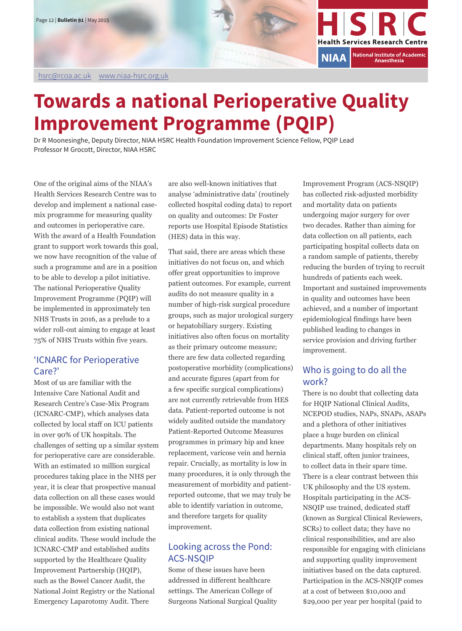

# **Towards a national Perioperative Quality Improvement Programme (PQIP)**

Dr R Moonesinghe, Deputy Director, NIAA HSRC Health Foundation Improvement Science Fellow, PQIP Lead Professor M Grocott, Director, NIAA HSRC

One of the original aims of the NIAA's Health Services Research Centre was to develop and implement a national casemix programme for measuring quality and outcomes in perioperative care. With the award of a Health Foundation grant to support work towards this goal, we now have recognition of the value of such a programme and are in a position to be able to develop a pilot initiative. The national Perioperative Quality Improvement Programme (PQIP) will be implemented in approximately ten NHS Trusts in 2016, as a prelude to a wider roll-out aiming to engage at least 75% of NHS Trusts within five years.

## 'ICNARC for Perioperative Care?'

Most of us are familiar with the Intensive Care National Audit and Research Centre's Case-Mix Program (ICNARC-CMP), which analyses data collected by local staff on ICU patients in over 90% of UK hospitals. The challenges of setting up a similar system for perioperative care are considerable. With an estimated 10 million surgical procedures taking place in the NHS per year, it is clear that prospective manual data collection on all these cases would be impossible. We would also not want to establish a system that duplicates data collection from existing national clinical audits. These would include the ICNARC-CMP and established audits supported by the Healthcare Quality Improvement Partnership (HQIP), such as the Bowel Cancer Audit, the National Joint Registry or the National Emergency Laparotomy Audit. There

are also well-known initiatives that analyse 'administrative data' (routinely collected hospital coding data) to report on quality and outcomes: Dr Foster reports use Hospital Episode Statistics (HES) data in this way.

That said, there are areas which these initiatives do not focus on, and which offer great opportunities to improve patient outcomes. For example, current audits do not measure quality in a number of high-risk surgical procedure groups, such as major urological surgery or hepatobiliary surgery. Existing initiatives also often focus on mortality as their primary outcome measure; there are few data collected regarding postoperative morbidity (complications) and accurate figures (apart from for a few specific surgical complications) are not currently retrievable from HES data. Patient-reported outcome is not widely audited outside the mandatory Patient-Reported Outcome Measures programmes in primary hip and knee replacement, varicose vein and hernia repair. Crucially, as mortality is low in many procedures, it is only through the measurement of morbidity and patientreported outcome, that we may truly be able to identify variation in outcome, and therefore targets for quality improvement.

# Looking across the Pond: ACS-NSQIP

Some of these issues have been addressed in different healthcare settings. The American College of Surgeons National Surgical Quality

Improvement Program (ACS-NSQIP) has collected risk-adjusted morbidity and mortality data on patients undergoing major surgery for over two decades. Rather than aiming for data collection on all patients, each participating hospital collects data on a random sample of patients, thereby reducing the burden of trying to recruit hundreds of patients each week. Important and sustained improvements in quality and outcomes have been achieved, and a number of important epidemiological findings have been published leading to changes in service provision and driving further improvement.

## Who is going to do all the work?

There is no doubt that collecting data for HQIP National Clinical Audits, NCEPOD studies, NAPs, SNAPs, ASAPs and a plethora of other initiatives place a huge burden on clinical departments. Many hospitals rely on clinical staff, often junior trainees, to collect data in their spare time. There is a clear contrast between this UK philosophy and the US system. Hospitals participating in the ACS-NSQIP use trained, dedicated staff (known as Surgical Clinical Reviewers, SCRs) to collect data; they have no clinical responsibilities, and are also responsible for engaging with clinicians and supporting quality improvement initiatives based on the data captured. Participation in the ACS-NSQIP comes at a cost of between \$10,000 and \$29,000 per year per hospital (paid to